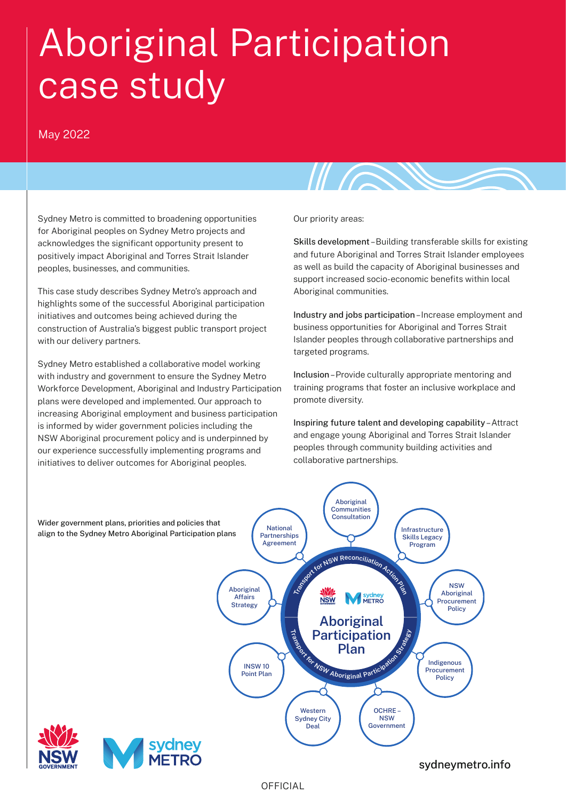# Aboriginal Participation case study

#### May 2022

Sydney Metro is committed to broadening opportunities for Aboriginal peoples on Sydney Metro projects and acknowledges the significant opportunity present to positively impact Aboriginal and Torres Strait Islander peoples, businesses, and communities.

This case study describes Sydney Metro's approach and highlights some of the successful Aboriginal participation initiatives and outcomes being achieved during the construction of Australia's biggest public transport project with our delivery partners.

Sydney Metro established a collaborative model working with industry and government to ensure the Sydney Metro Workforce Development, Aboriginal and Industry Participation plans were developed and implemented. Our approach to increasing Aboriginal employment and business participation is informed by wider government policies including the NSW Aboriginal procurement policy and is underpinned by our experience successfully implementing programs and initiatives to deliver outcomes for Aboriginal peoples.

Our priority areas:

Skills development – Building transferable skills for existing and future Aboriginal and Torres Strait Islander employees as well as build the capacity of Aboriginal businesses and support increased socio-economic benefits within local Aboriginal communities.

 $\mathbb{Z}$ 

Industry and jobs participation – Increase employment and business opportunities for Aboriginal and Torres Strait Islander peoples through collaborative partnerships and targeted programs.

Inclusion – Provide culturally appropriate mentoring and training programs that foster an inclusive workplace and promote diversity.

Inspiring future talent and developing capability – Attract and engage young Aboriginal and Torres Strait Islander peoples through community building activities and collaborative partnerships.



OFFICIAL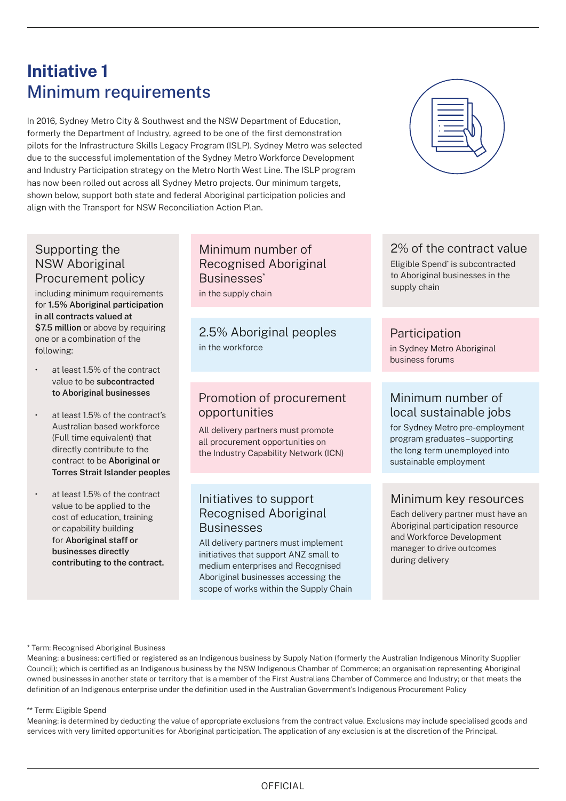# **Initiative 1** Minimum requirements

In 2016, Sydney Metro City & Southwest and the NSW Department of Education, formerly the Department of Industry, agreed to be one of the first demonstration pilots for the Infrastructure Skills Legacy Program (ISLP). Sydney Metro was selected due to the successful implementation of the Sydney Metro Workforce Development and Industry Participation strategy on the Metro North West Line. The ISLP program has now been rolled out across all Sydney Metro projects. Our minimum targets, shown below, support both state and federal Aboriginal participation policies and align with the Transport for NSW Reconciliation Action Plan.



#### Supporting the NSW Aboriginal Procurement policy

including minimum requirements for **1.5% Aboriginal participation in all contracts valued at**  \$7.5 million or above by requiring one or a combination of the following:

- at least 1.5% of the contract value to be **subcontracted to Aboriginal businesses**
- at least 1.5% of the contract's Australian based workforce (Full time equivalent) that directly contribute to the contract to be **Aboriginal or Torres Strait Islander peoples**
- at least 1.5% of the contract value to be applied to the cost of education, training or capability building for **Aboriginal staff or businesses directly contributing to the contract.**

#### Minimum number of Recognised Aboriginal Businesses\* in the supply chain

2.5% Aboriginal peoples in the workforce

#### Promotion of procurement opportunities

All delivery partners must promote all procurement opportunities on the Industry Capability Network (ICN)

#### Initiatives to support Recognised Aboriginal Businesses

All delivery partners must implement initiatives that support ANZ small to medium enterprises and Recognised Aboriginal businesses accessing the scope of works within the Supply Chain

#### 2% of the contract value

Eligible Spend\* is subcontracted to Aboriginal businesses in the supply chain

#### **Participation**

in Sydney Metro Aboriginal business forums

#### Minimum number of local sustainable jobs

for Sydney Metro pre-employment program graduates – supporting the long term unemployed into sustainable employment

### Minimum key resources

Each delivery partner must have an Aboriginal participation resource and Workforce Development manager to drive outcomes during delivery

#### \* Term: Recognised Aboriginal Business

Meaning: a business: certified or registered as an Indigenous business by Supply Nation (formerly the Australian Indigenous Minority Supplier Council); which is certified as an Indigenous business by the NSW Indigenous Chamber of Commerce; an organisation representing Aboriginal owned businesses in another state or territory that is a member of the First Australians Chamber of Commerce and Industry; or that meets the definition of an Indigenous enterprise under the definition used in the Australian Government's Indigenous Procurement Policy

#### \*\* Term: Eligible Spend

Meaning: is determined by deducting the value of appropriate exclusions from the contract value. Exclusions may include specialised goods and services with very limited opportunities for Aboriginal participation. The application of any exclusion is at the discretion of the Principal.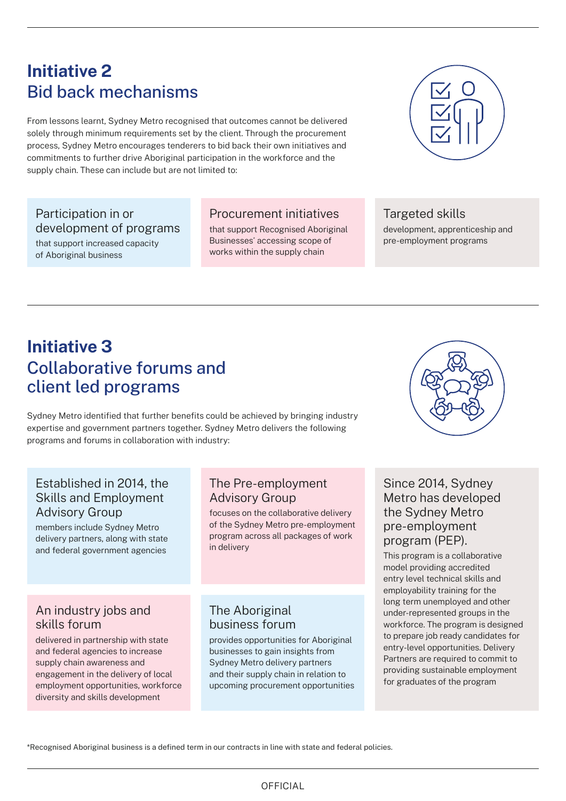## **Initiative 2** Bid back mechanisms

From lessons learnt, Sydney Metro recognised that outcomes cannot be delivered solely through minimum requirements set by the client. Through the procurement process, Sydney Metro encourages tenderers to bid back their own initiatives and commitments to further drive Aboriginal participation in the workforce and the supply chain. These can include but are not limited to:

#### Participation in or development of programs

that support increased capacity of Aboriginal business

#### Procurement initiatives

that support Recognised Aboriginal Businesses<sup>\*</sup> accessing scope of works within the supply chain



### Targeted skills

development, apprenticeship and pre-employment programs

# **Initiative 3** Collaborative forums and client led programs

Sydney Metro identified that further benefits could be achieved by bringing industry expertise and government partners together. Sydney Metro delivers the following programs and forums in collaboration with industry:

#### Established in 2014, the Skills and Employment Advisory Group

members include Sydney Metro delivery partners, along with state and federal government agencies

#### An industry jobs and skills forum

delivered in partnership with state and federal agencies to increase supply chain awareness and engagement in the delivery of local employment opportunities, workforce diversity and skills development

#### The Pre-employment Advisory Group

focuses on the collaborative delivery of the Sydney Metro pre-employment program across all packages of work in delivery

#### The Aboriginal business forum

provides opportunities for Aboriginal businesses to gain insights from Sydney Metro delivery partners and their supply chain in relation to upcoming procurement opportunities



#### Since 2014, Sydney Metro has developed the Sydney Metro pre-employment program (PEP).

This program is a collaborative model providing accredited entry level technical skills and employability training for the long term unemployed and other under-represented groups in the workforce. The program is designed to prepare job ready candidates for entry-level opportunities. Delivery Partners are required to commit to providing sustainable employment for graduates of the program

\*Recognised Aboriginal business is a defined term in our contracts in line with state and federal policies.

#### OFFICIAL